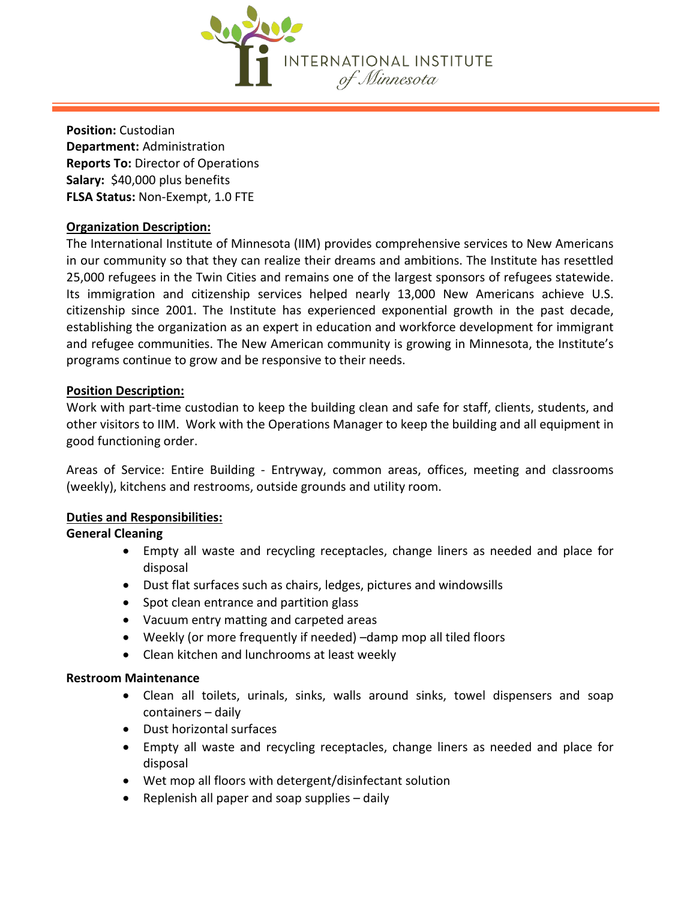

**Position:** Custodian **Department:** Administration **Reports To:** Director of Operations **Salary:** \$40,000 plus benefits **FLSA Status:** Non-Exempt, 1.0 FTE

# **Organization Description:**

The International Institute of Minnesota (IIM) provides comprehensive services to New Americans in our community so that they can realize their dreams and ambitions. The Institute has resettled 25,000 refugees in the Twin Cities and remains one of the largest sponsors of refugees statewide. Its immigration and citizenship services helped nearly 13,000 New Americans achieve U.S. citizenship since 2001. The Institute has experienced exponential growth in the past decade, establishing the organization as an expert in education and workforce development for immigrant and refugee communities. The New American community is growing in Minnesota, the Institute's programs continue to grow and be responsive to their needs.

## **Position Description:**

Work with part-time custodian to keep the building clean and safe for staff, clients, students, and other visitors to IIM. Work with the Operations Manager to keep the building and all equipment in good functioning order.

Areas of Service: Entire Building - Entryway, common areas, offices, meeting and classrooms (weekly), kitchens and restrooms, outside grounds and utility room.

## **Duties and Responsibilities:**

# **General Cleaning**

- Empty all waste and recycling receptacles, change liners as needed and place for disposal
- Dust flat surfaces such as chairs, ledges, pictures and windowsills
- Spot clean entrance and partition glass
- Vacuum entry matting and carpeted areas
- Weekly (or more frequently if needed) –damp mop all tiled floors
- Clean kitchen and lunchrooms at least weekly

# **Restroom Maintenance**

- Clean all toilets, urinals, sinks, walls around sinks, towel dispensers and soap containers – daily
- Dust horizontal surfaces
- Empty all waste and recycling receptacles, change liners as needed and place for disposal
- Wet mop all floors with detergent/disinfectant solution
- Replenish all paper and soap supplies daily